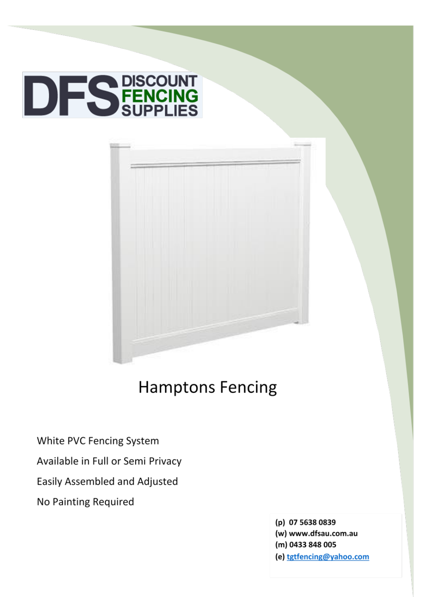



# **Hamptons Fencing**

White PVC Fencing System

Available in Full or Semi Privacy

Easily Assembled and Adjusted

No Painting Required

(p) 07 5638 0839 (w) www.dfsau.com.au (m) 0433 848 005 (e) tgtfencing@yahoo.com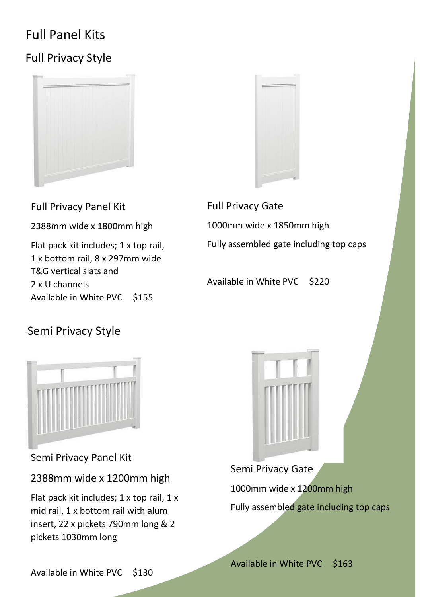## Full Panel Kits

## Full Privacy Style





Full Privacy Panel Kit

2388mm wide x 1800mm high

Flat pack kit includes; 1 x top rail, 1 x bottom rail, 8 x 297mm wide T&G vertical slats and 2 x U channels Available in White PVC \$155

Full Privacy Gate 1000mm wide x 1850mm high Fully assembled gate including top caps

Available in White PVC \$220

#### Semi Privacy Style



Semi Privacy Panel Kit

2388mm wide x 1200mm high

Flat pack kit includes; 1 x top rail, 1 x mid rail, 1 x bottom rail with alum insert, 22 x pickets 790mm long & 2 pickets 1030mm long



# Semi Privacy Gate 1000mm wide x 1200mm high Fully assembled gate including top caps

Available in White PVC \$163

Available in White PVC \$130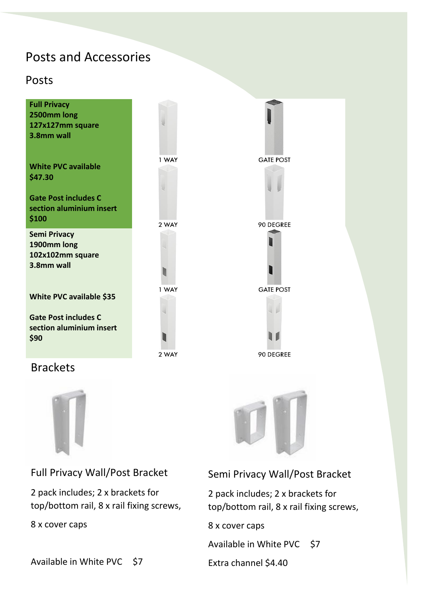#### Posts and Accessories

#### Posts



#### Brackets



Full Privacy Wall/Post Bracket

2 pack includes; 2 x brackets for top/bottom rail, 8 x rail fixing screws,

8 x cover caps

#### Semi Privacy Wall/Post Bracket

2 pack includes; 2 x brackets for top/bottom rail, 8 x rail fixing screws,

8 x cover caps

Available in White PVC \$7

Extra channel \$4.40

Available in White PVC \$7